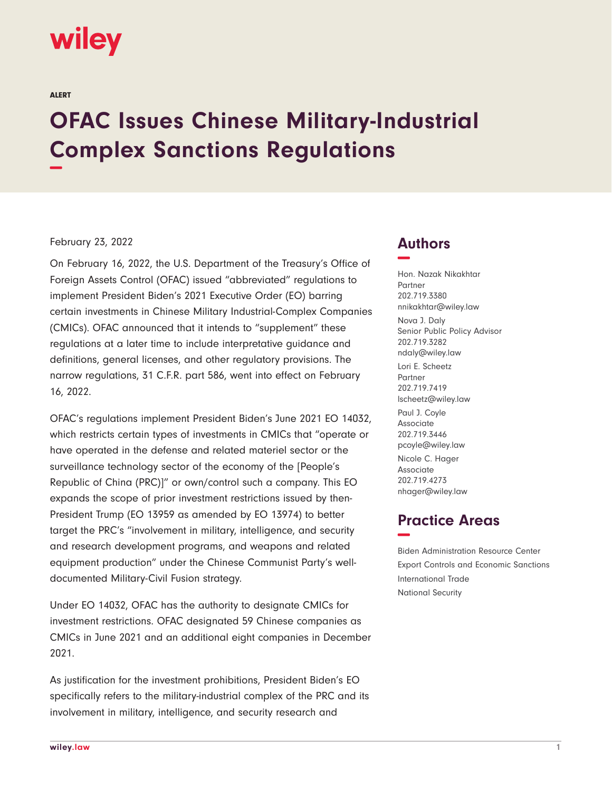# wiley

ALERT

# **OFAC Issues Chinese Military-Industrial Complex Sanctions Regulations −**

#### February 23, 2022

On February 16, 2022, the U.S. Department of the Treasury's Office of Foreign Assets Control (OFAC) issued "abbreviated" regulations to implement President Biden's 2021 Executive Order (EO) barring certain investments in Chinese Military Industrial-Complex Companies (CMICs). OFAC announced that it intends to "supplement" these regulations at a later time to include interpretative guidance and definitions, general licenses, and other regulatory provisions. The narrow regulations, 31 C.F.R. part 586, went into effect on February 16, 2022.

OFAC's regulations implement President Biden's June 2021 EO 14032, which restricts certain types of investments in CMICs that "operate or have operated in the defense and related materiel sector or the surveillance technology sector of the economy of the [People's Republic of China (PRC)]" or own/control such a company. This EO expands the scope of prior investment restrictions issued by then-President Trump (EO 13959 as amended by EO 13974) to better target the PRC's "involvement in military, intelligence, and security and research development programs, and weapons and related equipment production" under the Chinese Communist Party's welldocumented Military-Civil Fusion strategy.

Under EO 14032, OFAC has the authority to designate CMICs for investment restrictions. OFAC designated 59 Chinese companies as CMICs in June 2021 and an additional eight companies in December 2021.

As justification for the investment prohibitions, President Biden's EO specifically refers to the military-industrial complex of the PRC and its involvement in military, intelligence, and security research and

### **Authors −**

Hon. Nazak Nikakhtar Partner 202.719.3380 nnikakhtar@wiley.law Nova J. Daly Senior Public Policy Advisor 202.719.3282 ndaly@wiley.law Lori E. Scheetz Partner 202.719.7419 lscheetz@wiley.law Paul J. Coyle Associate 202.719.3446 pcoyle@wiley.law Nicole C. Hager Associate 202.719.4273 nhager@wiley.law

## **Practice Areas −**

Biden Administration Resource Center Export Controls and Economic Sanctions International Trade National Security